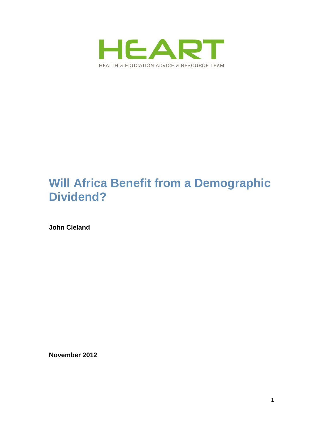

# **Will Africa Benefit from a Demographic Dividend?**

**John Cleland**

**November 2012**

1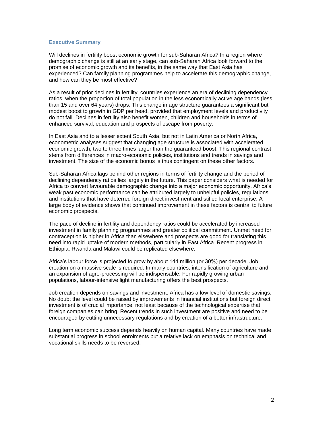# **Executive Summary**

Will declines in fertility boost economic growth for sub-Saharan Africa? In a region where demographic change is still at an early stage, can sub-Saharan Africa look forward to the promise of economic growth and its benefits, in the same way that East Asia has experienced? Can family planning programmes help to accelerate this demographic change, and how can they be most effective?

As a result of prior declines in fertility, countries experience an era of declining dependency ratios, when the proportion of total population in the less economically active age bands (less than 15 and over 64 years) drops. This change in age structure guarantees a significant but modest boost to growth in GDP per head, provided that employment levels and productivity do not fall. Declines in fertility also benefit women, children and households in terms of enhanced survival, education and prospects of escape from poverty.

In East Asia and to a lesser extent South Asia, but not in Latin America or North Africa, econometric analyses suggest that changing age structure is associated with accelerated economic growth, two to three times larger than the guaranteed boost. This regional contrast stems from differences in macro-economic policies, institutions and trends in savings and investment. The size of the economic bonus is thus contingent on these other factors.

Sub-Saharan Africa lags behind other regions in terms of fertility change and the period of declining dependency ratios lies largely in the future. This paper considers what is needed for Africa to convert favourable demographic change into a major economic opportunity. Africa"s weak past economic performance can be attributed largely to unhelpful policies, regulations and institutions that have deterred foreign direct investment and stifled local enterprise. A large body of evidence shows that continued improvement in these factors is central to future economic prospects.

The pace of decline in fertility and dependency ratios could be accelerated by increased investment in family planning programmes and greater political commitment. Unmet need for contraception is higher in Africa than elsewhere and prospects are good for translating this need into rapid uptake of modern methods, particularly in East Africa. Recent progress in Ethiopia, Rwanda and Malawi could be replicated elsewhere.

Africa"s labour force is projected to grow by about 144 million (or 30%) per decade. Job creation on a massive scale is required. In many countries, intensification of agriculture and an expansion of agro-processing will be indispensable. For rapidly growing urban populations, labour-intensive light manufacturing offers the best prospects.

Job creation depends on savings and investment. Africa has a low level of domestic savings. No doubt the level could be raised by improvements in financial institutions but foreign direct investment is of crucial importance, not least because of the technological expertise that foreign companies can bring. Recent trends in such investment are positive and need to be encouraged by cutting unnecessary regulations and by creation of a better infrastructure.

Long term economic success depends heavily on human capital. Many countries have made substantial progress in school enrolments but a relative lack on emphasis on technical and vocational skills needs to be reversed.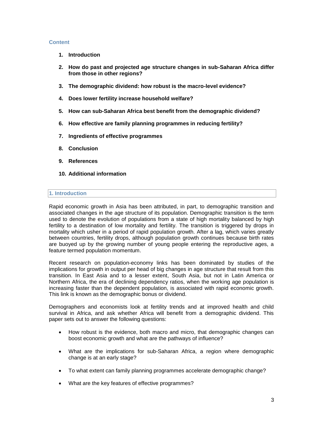# **Content**

- **1. Introduction**
- **2. How do past and projected age structure changes in sub-Saharan Africa differ from those in other regions?**
- **3. The demographic dividend: how robust is the macro-level evidence?**
- **4. Does lower fertility increase household welfare?**
- **5. How can sub-Saharan Africa best benefit from the demographic dividend?**
- **6. How effective are family planning programmes in reducing fertility?**
- **7. Ingredients of effective programmes**
- **8. Conclusion**
- **9. References**
- **10. Additional information**

## **1. Introduction**

Rapid economic growth in Asia has been attributed, in part, to demographic transition and associated changes in the age structure of its population. Demographic transition is the term used to denote the evolution of populations from a state of high mortality balanced by high fertility to a destination of low mortality and fertility. The transition is triggered by drops in mortality which usher in a period of rapid population growth. After a lag, which varies greatly between countries, fertility drops, although population growth continues because birth rates are buoyed up by the growing number of young people entering the reproductive ages, a feature termed population momentum.

Recent research on population-economy links has been dominated by studies of the implications for growth in output per head of big changes in age structure that result from this transition. In East Asia and to a lesser extent, South Asia, but not in Latin America or Northern Africa, the era of declining dependency ratios, when the working age population is increasing faster than the dependent population, is associated with rapid economic growth. This link is known as the demographic bonus or dividend.

Demographers and economists look at fertility trends and at improved health and child survival in Africa, and ask whether Africa will benefit from a demographic dividend. This paper sets out to answer the following questions:

- How robust is the evidence, both macro and micro, that demographic changes can boost economic growth and what are the pathways of influence?
- What are the implications for sub-Saharan Africa, a region where demographic change is at an early stage?
- To what extent can family planning programmes accelerate demographic change?
- What are the key features of effective programmes?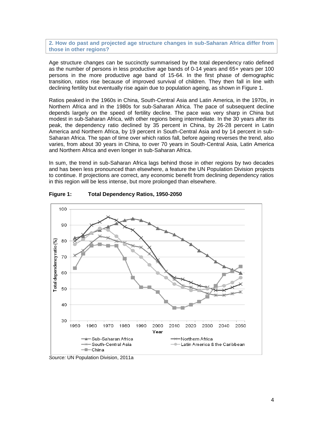**2. How do past and projected age structure changes in sub-Saharan Africa differ from those in other regions?**

Age structure changes can be succinctly summarised by the total dependency ratio defined as the number of persons in less productive age bands of 0-14 years and 65+ years per 100 persons in the more productive age band of 15-64. In the first phase of demographic transition, ratios rise because of improved survival of children. They then fall in line with declining fertility but eventually rise again due to population ageing, as shown in Figure 1.

Ratios peaked in the 1960s in China, South-Central Asia and Latin America, in the 1970s, in Northern Africa and in the 1980s for sub-Saharan Africa. The pace of subsequent decline depends largely on the speed of fertility decline. The pace was very sharp in China but modest in sub-Saharan Africa, with other regions being intermediate. In the 30 years after its peak, the dependency ratio declined by 35 percent in China, by 26-28 percent in Latin America and Northern Africa, by 19 percent in South-Central Asia and by 14 percent in sub-Saharan Africa. The span of time over which ratios fall, before ageing reverses the trend, also varies, from about 30 years in China, to over 70 years in South-Central Asia, Latin America and Northern Africa and even longer in sub-Saharan Africa.

In sum, the trend in sub-Saharan Africa lags behind those in other regions by two decades and has been less pronounced than elsewhere, a feature the UN Population Division projects to continue. If projections are correct, any economic benefit from declining dependency ratios in this region will be less intense, but more prolonged than elsewhere.



**Figure 1: Total Dependency Ratios, 1950-2050**

*Source:* UN Population Division, 2011a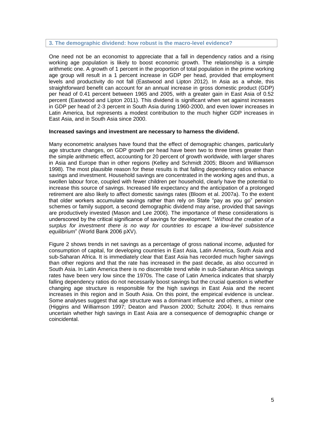#### **3. The demographic dividend: how robust is the macro-level evidence?**

One need not be an economist to appreciate that a fall in dependency ratios and a rising working age population is likely to boost economic growth. The relationship is a simple arithmetic one. A growth of 1 percent in the proportion of total population in the prime working age group will result in a 1 percent increase in GDP per head, provided that employment levels and productivity do not fall (Eastwood and Lipton 2012). In Asia as a whole, this straightforward benefit can account for an annual increase in gross domestic product (GDP) per head of 0.41 percent between 1965 and 2005, with a greater gain in East Asia of 0.52 percent (Eastwood and Lipton 2011). This dividend is significant when set against increases in GDP per head of 2-3 percent in South Asia during 1960-2000, and even lower increases in Latin America, but represents a modest contribution to the much higher GDP increases in East Asia, and in South Asia since 2000.

### **Increased savings and investment are necessary to harness the dividend.**

Many econometric analyses have found that the effect of demographic changes, particularly age structure changes, on GDP growth per head have been two to three times greater than the simple arithmetic effect, accounting for 20 percent of growth worldwide, with larger shares in Asia and Europe than in other regions (Kelley and Schmidt 2005; Bloom and Williamson 1998). The most plausible reason for these results is that falling dependency ratios enhance savings and investment. Household savings are concentrated in the working ages and thus, a swollen labour force, coupled with fewer children per household, clearly have the potential to increase this source of savings. Increased life expectancy and the anticipation of a prolonged retirement are also likely to affect domestic savings rates (Bloom et al. 2007a). To the extent that older workers accumulate savings rather than rely on State "pay as you go" pension schemes or family support, a second demographic dividend may arise, provided that savings are productively invested (Mason and Lee 2006). The importance of these considerations is underscored by the critical significance of savings for development. "*Without the creation of a surplus for investment there is no way for countries to escape a low-level subsistence equilibrium*" (World Bank 2006 pXV).

Figure 2 shows trends in net savings as a percentage of gross national income, adjusted for consumption of capital, for developing countries in East Asia, Latin America, South Asia and sub-Saharan Africa. It is immediately clear that East Asia has recorded much higher savings than other regions and that the rate has increased in the past decade, as also occurred in South Asia. In Latin America there is no discernible trend while in sub-Saharan Africa savings rates have been very low since the 1970s. The case of Latin America indicates that sharply falling dependency ratios do not necessarily boost savings but the crucial question is whether changing age structure is responsible for the high savings in East Asia and the recent increases in this region and in South Asia. On this point, the empirical evidence is unclear. Some analyses suggest that age structure was a dominant influence and others, a minor one (Higgins and Williamson 1997; Deaton and Paxson 2000; Schultz 2004). It thus remains uncertain whether high savings in East Asia are a consequence of demographic change or coincidental.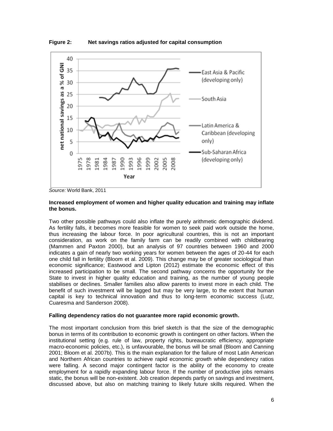

**Figure 2: Net savings ratios adjusted for capital consumption**

# **Increased employment of women and higher quality education and training may inflate the bonus.**

Two other possible pathways could also inflate the purely arithmetic demographic dividend. As fertility falls, it becomes more feasible for women to seek paid work outside the home, thus increasing the labour force. In poor agricultural countries, this is not an important consideration, as work on the family farm can be readily combined with childbearing (Mammen and Paxton 2000), but an analysis of 97 countries between 1960 and 2000 indicates a gain of nearly two working years for women between the ages of 20-44 for each one child fall in fertility (Bloom et al. 2009). This change may be of greater sociological than economic significance; Eastwood and Lipton (2012) estimate the economic effect of this increased participation to be small. The second pathway concerns the opportunity for the State to invest in higher quality education and training, as the number of young people stabilises or declines. Smaller families also allow parents to invest more in each child. The benefit of such investment will be lagged but may be very large, to the extent that human capital is key to technical innovation and thus to long-term economic success (Lutz, Cuaresma and Sanderson 2008).

# **Falling dependency ratios do not guarantee more rapid economic growth.**

The most important conclusion from this brief sketch is that the size of the demographic bonus in terms of its contribution to economic growth is contingent on other factors. When the institutional setting (e.g. rule of law, property rights, bureaucratic efficiency, appropriate macro-economic policies, etc.), is unfavourable, the bonus will be small (Bloom and Canning 2001; Bloom et al. 2007b). This is the main explanation for the failure of most Latin American and Northern African countries to achieve rapid economic growth while dependency ratios were falling. A second major contingent factor is the ability of the economy to create employment for a rapidly expanding labour force. If the number of productive jobs remains static, the bonus will be non-existent. Job creation depends partly on savings and investment, discussed above, but also on matching training to likely future skills required. When the

*Source:* World Bank, 2011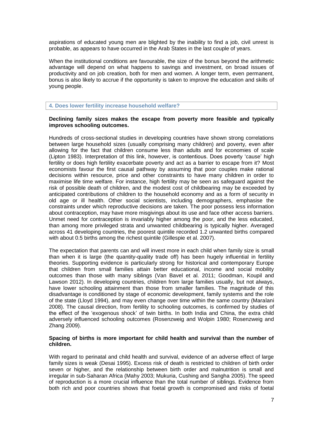aspirations of educated young men are blighted by the inability to find a job, civil unrest is probable, as appears to have occurred in the Arab States in the last couple of years.

When the institutional conditions are favourable, the size of the bonus beyond the arithmetic advantage will depend on what happens to savings and investment, on broad issues of productivity and on job creation, both for men and women. A longer term, even permanent, bonus is also likely to accrue if the opportunity is taken to improve the education and skills of young people.

**4. Does lower fertility increase household welfare?**

# **Declining family sizes makes the escape from poverty more feasible and typically improves schooling outcomes.**

Hundreds of cross-sectional studies in developing countries have shown strong correlations between large household sizes (usually comprising many children) and poverty, even after allowing for the fact that children consume less than adults and for economies of scale (Lipton 1983). Interpretation of this link, however, is contentious. Does poverty "cause" high fertility or does high fertility exacerbate poverty and act as a barrier to escape from it? Most economists favour the first causal pathway by assuming that poor couples make rational decisions within resource, price and other constraints to have many children in order to maximise life time welfare. For instance, high fertility may be seen as safeguard against the risk of possible death of children, and the modest cost of childbearing may be exceeded by anticipated contributions of children to the household economy and as a form of security in old age or ill health. Other social scientists, including demographers, emphasise the constraints under which reproductive decisions are taken. The poor possess less information about contraception, may have more misgivings about its use and face other access barriers. Unmet need for contraception is invariably higher among the poor, and the less educated, than among more privileged strata and unwanted childbearing is typically higher. Averaged across 41 developing countries, the poorest quintile recorded 1.2 unwanted births compared with about 0.5 births among the richest quintile (Gillespie et al. 2007).

The expectation that parents can and will invest more in each child when family size is small than when it is large (the quantity-quality trade off) has been hugely influential in fertility theories. Supporting evidence is particularly strong for historical and contemporary Europe that children from small families attain better educational, income and social mobility outcomes than those with many siblings (Van Bavel et al. 2011; Goodman, Koupil and Lawson 2012). In developing countries, children from large families usually, but not always, have lower schooling attainment than those from smaller families. The magnitude of this disadvantage is conditioned by stage of economic development, family systems and the role of the state (Lloyd 1994), and may even change over time within the same country (Maralani 2008). The causal direction, from fertility to schooling outcomes, is confirmed by studies of the effect of the "exogenous shock" of twin births. In both India and China, the extra child adversely influenced schooling outcomes (Rosenzweig and Wolpin 1980; Rosenzweig and Zhang 2009).

## **Spacing of births is more important for child health and survival than the number of children.**

With regard to perinatal and child health and survival, evidence of an adverse effect of large family sizes is weak (Desai 1995). Excess risk of death is restricted to children of birth order seven or higher, and the relationship between birth order and malnutrition is small and irregular in sub-Saharan Africa (Mahy 2003; Mukuria, Cushing and Sangha 2005). The speed of reproduction is a more crucial influence than the total number of siblings. Evidence from both rich and poor countries shows that foetal growth is compromised and risks of foetal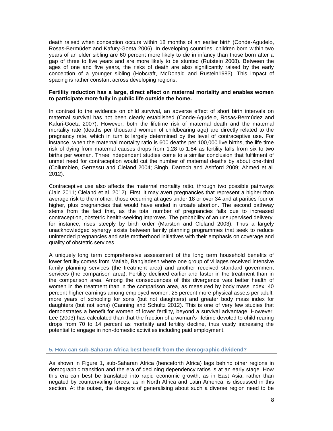death raised when conception occurs within 18 months of an earlier birth (Conde-Agudelo, Rosas-Bermúdez and Kafury-Goeta 2006). In developing countries, children born within two years of an elder sibling are 60 percent more likely to die in infancy than those born after a gap of three to five years and are more likely to be stunted (Rutstein 2008). Between the ages of one and five years, the risks of death are also significantly raised by the early conception of a younger sibling (Hobcraft, McDonald and Rustein1983). This impact of spacing is rather constant across developing regions.

## **Fertility reduction has a large, direct effect on maternal mortality and enables women to participate more fully in public life outside the home.**

In contrast to the evidence on child survival, an adverse effect of short birth intervals on maternal survival has not been clearly established (Conde-Agudelo, Rosas-Bermúdez and Kafuri-Goeta 2007). However, both the lifetime risk of maternal death and the maternal mortality rate (deaths per thousand women of childbearing age) are directly related to the pregnancy rate, which in turn is largely determined by the level of contraceptive use. For instance, when the maternal mortality ratio is 600 deaths per 100,000 live births, the life time risk of dying from maternal causes drops from 1:28 to 1:84 as fertility falls from six to two births per woman. Three independent studies come to a similar conclusion that fulfilment of unmet need for contraception would cut the number of maternal deaths by about one-third (Collumbien, Gerressu and Cleland 2004; Singh, Darroch and Ashford 2009; Ahmed et al. 2012).

Contraceptive use also affects the maternal mortality ratio, through two possible pathways (Jain 2011; Cleland et al. 2012). First, it may avert pregnancies that represent a higher than average risk to the mother: those occurring at ages under 18 or over 34 and at parities four or higher, plus pregnancies that would have ended in unsafe abortion. The second pathway stems from the fact that, as the total number of pregnancies falls due to increased contraception, obstetric health-seeking improves. The probability of an unsupervised delivery, for instance, rises steeply by birth order (Marston and Cleland 2003). Thus a largely unacknowledged synergy exists between family planning programmes that seek to reduce unintended pregnancies and safe motherhood initiatives with their emphasis on coverage and quality of obstetric services.

A uniquely long term comprehensive assessment of the long term household benefits of lower fertility comes from Matlab, Bangladesh where one group of villages received intensive family planning services (the treatment area) and another received standard government services (the comparison area). Fertility declined earlier and faster in the treatment than in the comparison area. Among the consequences of this divergence was better health of women in the treatment than in the comparison area, as measured by body mass index; 40 percent higher earnings among employed women; 25 percent more physical assets per adult; more years of schooling for sons (but not daughters) and greater body mass index for daughters (but not sons) (Canning and Schultz 2012). This is one of very few studies that demonstrates a benefit for women of lower fertility, beyond a survival advantage. However, Lee (2003) has calculated than that the fraction of a woman"s lifetime devoted to child rearing drops from 70 to 14 percent as mortality and fertility decline, thus vastly increasing the potential to engage in non-domestic activities including paid employment.

# **5. How can sub-Saharan Africa best benefit from the demographic dividend?**

As shown in Figure 1, sub-Saharan Africa (henceforth Africa) lags behind other regions in demographic transition and the era of declining dependency ratios is at an early stage. How this era can best be translated into rapid economic growth, as in East Asia, rather than negated by countervailing forces, as in North Africa and Latin America, is discussed in this section. At the outset, the dangers of generalising about such a diverse region need to be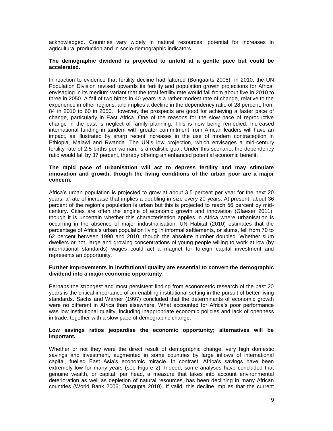acknowledged. Countries vary widely in natural resources, potential for increases in agricultural production and in socio-demographic indicators.

## **The demographic dividend is projected to unfold at a gentle pace but could be accelerated.**

In reaction to evidence that fertility decline had faltered (Bongaarts 2008), in 2010, the UN Population Division revised upwards its fertility and population growth projections for Africa, envisaging in its medium variant that the total fertility rate would fall from about five in 2010 to three in 2050. A fall of two births in 40 years is a rather modest rate of change, relative to the experience in other regions, and implies a decline in the dependency ratio of 28 percent, from 84 in 2010 to 60 in 2050. However, the prospects are good for achieving a faster pace of change, particularly in East Africa. One of the reasons for the slow pace of reproductive change in the past is neglect of family planning. This is now being remedied. Increased international funding in tandem with greater commitment from African leaders will have an impact, as illustrated by sharp recent increases in the use of modern contraception in Ethiopia, Malawi and Rwanda. The UN"s low projection, which envisages a mid-century fertility rate of 2.5 births per woman, is a realistic goal. Under this scenario, the dependency ratio would fall by 37 percent, thereby offering an enhanced potential economic benefit.

# **The rapid pace of urbanisation will act to depress fertility and may stimulate innovation and growth, though the living conditions of the urban poor are a major concern.**

Africa"s urban population is projected to grow at about 3.5 percent per year for the next 20 years, a rate of increase that implies a doubling in size every 20 years. At present, about 36 percent of the region"s population is urban but this is projected to reach 56 percent by midcentury. Cities are often the engine of economic growth and innovation (Glaeser 2011), though it is uncertain whether this characterisation applies in Africa where urbanisation is occurring in the absence of major industrialisation. UN Habitat (2010) estimates that the percentage of Africa"s urban population living in informal settlements, or slums, fell from 70 to 62 percent between 1990 and 2010, though the absolute number doubled. Whether slum dwellers or not, large and growing concentrations of young people willing to work at low (by international standards) wages could act a magnet for foreign capital investment and represents an opportunity.

# **Further improvements in institutional quality are essential to convert the demographic dividend into a major economic opportunity.**

Perhaps the strongest and most persistent finding from econometric research of the past 20 years is the critical importance of an enabling institutional setting in the pursuit of better living standards. Sachs and Warner (1997) concluded that the determinants of economic growth were no different in Africa than elsewhere. What accounted for Africa's poor performance was low institutional quality, including inappropriate economic policies and lack of openness in trade, together with a slow pace of demographic change.

# **Low savings ratios jeopardise the economic opportunity; alternatives will be important.**

Whether or not they were the direct result of demographic change, very high domestic savings and investment, augmented in some countries by large inflows of international capital, fuelled East Asia's economic miracle. In contrast, Africa's savings have been extremely low for many years (see Figure 2). Indeed, some analyses have concluded that genuine wealth, or capital, per head, a measure that takes into account environmental deterioration as well as depletion of natural resources, has been declining in many African countries (World Bank 2006; Dasgupta 2010). If valid, this decline implies that the current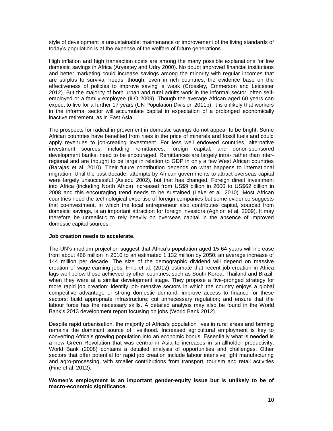style of development is unsustainable; maintenance or improvement of the living standards of today"s population is at the expense of the welfare of future generations.

High inflation and high transaction costs are among the many possible explanations for low domestic savings in Africa (Aryeetey and Udry 2000). No doubt improved financial institutions and better marketing could increase savings among the minority with regular incomes that are surplus to survival needs, though, even in rich countries, the evidence base on the effectiveness of policies to improve saving is weak (Crossley, Emmerson and Leicester 2012). But the majority of both urban and rural adults work in the informal sector, often selfemployed or a family employee (ILO 2009). Though the average African aged 60 years can expect to live for a further 17 years (UN Population Division 2011b), it is unlikely that workers in the informal sector will accumulate capital in expectation of a prolonged economically inactive retirement, as in East Asia.

The prospects for radical improvement in domestic savings do not appear to be bright. Some African countries have benefited from rises in the price of minerals and fossil fuels and could apply revenues to job-creating investment. For less well endowed countries, alternative investment sources, including remittances, foreign capital, and donor-sponsored development banks, need to be encouraged. Remittances are largely intra- rather than interregional and are thought to be large in relation to GDP in only a few West African countries (Barajas et al. 2010). Their future contribution depends on what happens to international migration. Until the past decade, attempts by African governments to attract overseas capital were largely unsuccessful (Asiedu 2002), but that has changed. Foreign direct investment into Africa (including North Africa) increased from US\$9 billion in 2000 to US\$62 billion in 2008 and this encouraging trend needs to be sustained (Leke et al. 2010). Most African countries need the technological expertise of foreign companies but some evidence suggests that co-investment, in which the local entrepreneur also contributes capital, sourced from domestic savings, is an important attraction for foreign investors (Aghion et al. 2009). It may therefore be unrealistic to rely heavily on overseas capital in the absence of improved domestic capital sources.

# **Job creation needs to accelerate.**

The UN"s medium projection suggest that Africa"s population aged 15-64 years will increase from about 466 million in 2010 to an estimated 1,132 million by 2050, an average increase of 144 million per decade. The size of the demographic dividend will depend on massive creation of wage-earning jobs. Fine et al. (2012) estimate that recent job creation in Africa lags well below those achieved by other countries, such as South Korea, Thailand and Brazil, when they were at a similar development stage. They propose a five-pronged strategy for more rapid job creation: identify job-intensive sectors in which the country enjoys a global competitive advantage or strong domestic demand; improve access to finance for these sectors; build appropriate infrastructure; cut unnecessary regulation; and ensure that the labour force has the necessary skills. A detailed analysis may also be found in the World Bank"s 2013 development report focusing on jobs (World Bank 2012).

Despite rapid urbanisation, the majority of Africa"s population lives in rural areas and farming remains the dominant source of livelihood. Increased agricultural employment is key to converting Africa"s growing population into an economic bonus. Essentially what is needed is a new Green Revolution that was central in Asia to increases in smallholder productivity. World Bank (2008) contains a detailed analysis of opportunities and challenges. Other sectors that offer potential for rapid job creation include labour intensive light manufacturing and agro-processing, with smaller contributions from transport, tourism and retail activities (Fine et al. 2012).

**Women's employment is an important gender-equity issue but is unlikely to be of macro-economic significance.**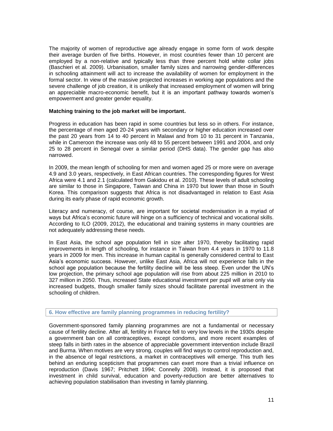The majority of women of reproductive age already engage in some form of work despite their average burden of five births. However, in most countries fewer than 10 percent are employed by a non-relative and typically less than three percent hold white collar jobs (Baschieri et al. 2009). Urbanisation, smaller family sizes and narrowing gender-differences in schooling attainment will act to increase the availability of women for employment in the formal sector. In view of the massive projected increases in working age populations and the severe challenge of job creation, it is unlikely that increased employment of women will bring an appreciable macro-economic benefit, but it is an important pathway towards women"s empowerment and greater gender equality.

## **Matching training to the job market will be important.**

Progress in education has been rapid in some countries but less so in others. For instance, the percentage of men aged 20-24 years with secondary or higher education increased over the past 20 years from 14 to 40 percent in Malawi and from 10 to 31 percent in Tanzania, while in Cameroon the increase was only 48 to 55 percent between 1991 and 2004, and only 25 to 28 percent in Senegal over a similar period (DHS data). The gender gap has also narrowed.

In 2009, the mean length of schooling for men and women aged 25 or more were on average 4.9 and 3.0 years, respectively, in East African countries. The corresponding figures for West Africa were 4.1 and 2.1 (calculated from Gakidou et al. 2010). These levels of adult schooling are similar to those in Singapore, Taiwan and China in 1970 but lower than those in South Korea. This comparison suggests that Africa is not disadvantaged in relation to East Asia during its early phase of rapid economic growth.

Literacy and numeracy, of course, are important for societal modernisation in a myriad of ways but Africa"s economic future will hinge on a sufficiency of technical and vocational skills. According to ILO (2009, 2012), the educational and training systems in many countries are not adequately addressing these needs.

In East Asia, the school age population fell in size after 1970, thereby facilitating rapid improvements in length of schooling, for instance in Taiwan from 4.4 years in 1970 to 11.8 years in 2009 for men. This increase in human capital is generally considered central to East Asia"s economic success. However, unlike East Asia, Africa will not experience falls in the school age population because the fertility decline will be less steep. Even under the UN"s low projection, the primary school age population will rise from about 225 million in 2010 to 327 million in 2050. Thus, increased State educational investment per pupil will arise only via increased budgets, though smaller family sizes should facilitate parental investment in the schooling of children.

## **6. How effective are family planning programmes in reducing fertility?**

Government-sponsored family planning programmes are not a fundamental or necessary cause of fertility decline. After all, fertility in France fell to very low levels in the 1930s despite a government ban on all contraceptives, except condoms, and more recent examples of steep falls in birth rates in the absence of appreciable government intervention include Brazil and Burma. When motives are very strong, couples will find ways to control reproduction and, in the absence of legal restrictions, a market in contraceptives will emerge. This truth lies behind an enduring scepticism that programmes can exert more than a trivial influence on reproduction (Davis 1967; Pritchett 1994; Connelly 2008). Instead, it is proposed that investment in child survival, education and poverty-reduction are better alternatives to achieving population stabilisation than investing in family planning.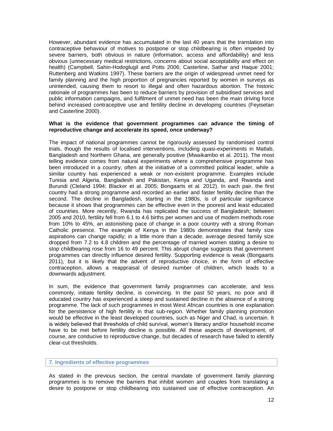However, abundant evidence has accumulated in the last 40 years that the translation into contraceptive behaviour of motives to postpone or stop childbearing is often impeded by severe barriers, both obvious in nature (information, access and affordability) and less obvious (unnecessary medical restrictions, concerns about social acceptability and effect on health) (Campbell, Sahin-Hodoglugil and Potts 2006; Casterline, Sathar and Haque 2001; Ruttenberg and Watkins 1997). These barriers are the origin of widespread unmet need for family planning and the high proportion of pregnancies reported by women in surveys as unintended, causing them to resort to illegal and often hazardous abortion. The historic rationale of programmes has been to reduce barriers by provision of subsidised services and public information campaigns, and fulfilment of unmet need has been the main driving force behind increased contraceptive use and fertility decline in developing countries (Feyisetan and Casterline 2000).

### **What is the evidence that government programmes can advance the timing of reproductive change and accelerate its speed, once underway?**

The impact of national programmes cannot be rigorously assessed by randomised control trials, though the results of localised interventions, including quasi-experiments in Matlab, Bangladesh and Northern Ghana, are generally positive (Mwaikambo et al. 2011). The most telling evidence comes from natural experiments where a comprehensive programme has been introduced in a country, often at the initiative of a committed political leader, while a similar country has experienced a weak or non-existent programme. Examples include Tunisia and Algeria, Bangladesh and Pakistan, Kenya and Uganda, and Rwanda and Burundi (Cleland 1994; Blacker et al. 2005; Bongaarts et al. 2012). In each pair, the first country had a strong programme and recorded an earlier and faster fertility decline than the second. The decline in Bangladesh, starting in the 1980s, is of particular significance because it shows that programmes can be effective even in the poorest and least educated of countries. More recently, Rwanda has replicated the success of Bangladesh; between 2005 and 2010, fertility fell from 6.1 to 4.6 births per women and use of modern methods rose from 10% to 45%, an astonishing pace of change in a poor country with a strong Roman Catholic presence. The example of Kenya in the 1980s demonstrates that family size aspirations can change rapidly; in a little more than a decade, average desired family size dropped from 7.2 to 4.8 children and the percentage of married women stating a desire to stop childbearing rose from 16 to 49 percent. This abrupt change suggests that government programmes can directly influence desired fertility. Supporting evidence is weak (Bongaarts 2011), but it is likely that the advent of reproductive choice, in the form of effective contraception, allows a reappraisal of desired number of children, which leads to a downwards adjustment.

In sum, the evidence that government family programmes can accelerate, and less commonly, initiate fertility decline, is convincing. In the past 50 years, no poor and ill educated country has experienced a steep and sustained decline in the absence of a strong programme. The lack of such programmes in most West African countries is one explanation for the persistence of high fertility in that sub-region. Whether family planning promotion would be effective in the least developed countries, such as Niger and Chad, is uncertain. It is widely believed that thresholds of child survival, women's literacy and/or household income have to be met before fertility decline is possible. All these aspects of development, of course, are conducive to reproductive change, but decades of research have failed to identify clear-cut thresholds.

#### **7. Ingredients of effective programmes**

As stated in the previous section, the central mandate of government family planning programmes is to remove the barriers that inhibit women and couples from translating a desire to postpone or stop childbearing into sustained use of effective contraception. An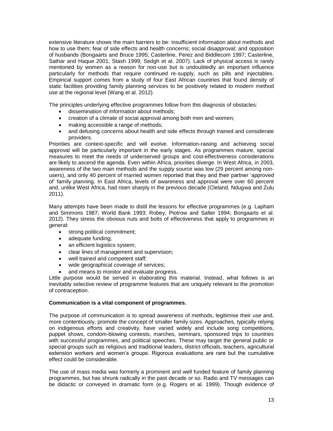extensive literature shows the main barriers to be: insufficient information about methods and how to use them; fear of side effects and health concerns; social disapproval; and opposition of husbands (Bongaarts and Bruce 1995; Casterline, Perez and Biddlecom 1997; Casterline, Sathar and Haque 2001; Stash 1999; Sedgh et al. 2007). Lack of physical access is rarely mentioned by women as a reason for non-use but is undoubtedly an important influence particularly for methods that require continued re-supply, such as pills and injectables. Empirical support comes from a study of four East African countries that found density of static facilities providing family planning services to be positively related to modern method use at the regional level (Wang et al. 2012).

The principles underlying effective programmes follow from this diagnosis of obstacles:

- dissemination of information about methods;
- creation of a climate of social approval among both men and women;
- making accessible a range of methods;
- and defusing concerns about health and side effects through trained and considerate providers.

Priorities are context-specific and will evolve. Information-raising and achieving social approval will be particularly important in the early stages. As programmes mature, special measures to meet the needs of underserved groups and cost-effectiveness considerations are likely to ascend the agenda. Even within Africa, priorities diverge. In West Africa, in 2003, awareness of the two main methods and the supply source was low (29 percent among nonusers), and only 40 percent of married women reported that they and their partner "approved of" family planning. In East Africa, levels of awareness and approval were over 60 percent and, unlike West Africa, had risen sharply in the previous decade (Cleland, Ndugwa and Zulu 2011).

Many attempts have been made to distil the lessons for effective programmes (e.g. Lapham and Simmons 1987; World Bank 1993; Robey, Piotrow and Salter 1994; Bongaarts et al. 2012). They stress the obvious nuts and bolts of effectiveness that apply to programmes in general:

- strong political commitment;
- adequate funding;
- an efficient logistics system;
- clear lines of management and supervision;
- well trained and competent staff:
- wide geographical coverage of services;
- and means to monitor and evaluate progress.

Little purpose would be served in elaborating this material. Instead, what follows is an inevitably selective review of programme features that are uniquely relevant to the promotion of contraception.

# **Communication is a vital component of programmes.**

The purpose of communication is to spread awareness of methods, legitimise their use and, more contentiously, promote the concept of smaller family sizes. Approaches, typically relying on indigenous efforts and creativity, have varied widely and include song competitions, puppet shows, condom-blowing contests, marches, seminars, sponsored trips to countries with successful programmes, and political speeches. These may target the general public or special groups such as religious and traditional leaders, district officials, teachers, agricultural extension workers and women"s groups. Rigorous evaluations are rare but the cumulative effect could be considerable.

The use of mass media was formerly a prominent and well funded feature of family planning programmes, but has shrunk radically in the past decade or so. Radio and TV messages can be didactic or conveyed in dramatic form (e.g. Rogers et al. 1999). Though evidence of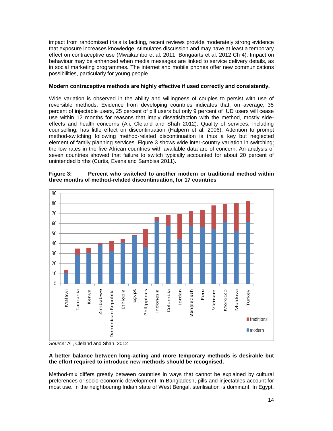impact from randomised trials is lacking, recent reviews provide moderately strong evidence that exposure increases knowledge, stimulates discussion and may have at least a temporary effect on contraceptive use (Mwaikambo et al. 2011; Bongaarts et al. 2012 Ch 4). Impact on behaviour may be enhanced when media messages are linked to service delivery details, as in social marketing programmes. The internet and mobile phones offer new communications possibilities, particularly for young people.

# **Modern contraceptive methods are highly effective if used correctly and consistently.**

Wide variation is observed in the ability and willingness of couples to persist with use of reversible methods. Evidence from developing countries indicates that, on average, 35 percent of injectable users, 25 percent of pill users but only 9 percent of IUD users will cease use within 12 months for reasons that imply dissatisfaction with the method, mostly sideeffects and health concerns (Ali, Cleland and Shah 2012). Quality of services, including counselling, has little effect on discontinuation (Halpern et al. 2006). Attention to prompt method-switching following method-related discontinuation is thus a key but neglected element of family planning services. Figure 3 shows wide inter-country variation in switching; the low rates in the five African countries with available data are of concern. An analysis of seven countries showed that failure to switch typically accounted for about 20 percent of unintended births (Curtis, Evens and Sambisa 2011).





*Source:* Ali, Cleland and Shah, 2012

# **A better balance between long-acting and more temporary methods is desirable but the effort required to introduce new methods should be recognised.**

Method-mix differs greatly between countries in ways that cannot be explained by cultural preferences or socio-economic development. In Bangladesh, pills and injectables account for most use. In the neighbouring Indian state of West Bengal, sterilisation is dominant. In Egypt,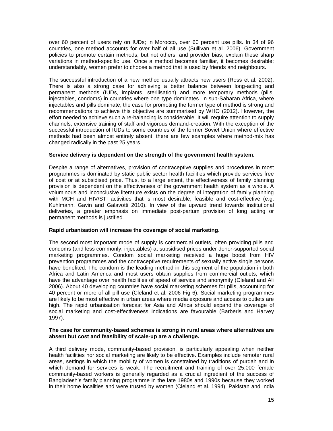over 60 percent of users rely on IUDs; in Morocco, over 60 percent use pills. In 34 of 96 countries, one method accounts for over half of all use (Sullivan et al. 2006). Government policies to promote certain methods, but not others, and provider bias, explain these sharp variations in method-specific use. Once a method becomes familiar, it becomes desirable; understandably, women prefer to choose a method that is used by friends and neighbours.

The successful introduction of a new method usually attracts new users (Ross et al. 2002). There is also a strong case for achieving a better balance between long-acting and permanent methods (IUDs, implants, sterilisation) and more temporary methods (pills, injectables, condoms) in countries where one type dominates. In sub-Saharan Africa, where injectables and pills dominate, the case for promoting the former type of method is strong and recommendations to achieve this objective are summarised by WHO (2012). However, the effort needed to achieve such a re-balancing is considerable. It will require attention to supply channels, extensive training of staff and vigorous demand-creation. With the exception of the successful introduction of IUDs to some countries of the former Soviet Union where effective methods had been almost entirely absent, there are few examples where method-mix has changed radically in the past 25 years.

# **Service delivery is dependent on the strength of the government health system.**

Despite a range of alternatives, provision of contraceptive supplies and procedures in most programmes is dominated by static public sector health facilities which provide services free of cost or at subsidised price. Thus, to a large extent, the effectiveness of family planning provision is dependent on the effectiveness of the government health system as a whole. A voluminous and inconclusive literature exists on the degree of integration of family planning with MCH and HIV/STI activities that is most desirable, feasible and cost-effective (e.g. Kuhlmann, Gavin and Galavotti 2010). In view of the upward trend towards institutional deliveries, a greater emphasis on immediate post-partum provision of long acting or permanent methods is justified.

#### **Rapid urbanisation will increase the coverage of social marketing.**

The second most important mode of supply is commercial outlets, often providing pills and condoms (and less commonly, injectables) at subsidised prices under donor-supported social marketing programmes. Condom social marketing received a huge boost from HIV prevention programmes and the contraceptive requirements of sexually active single persons have benefited. The condom is the leading method in this segment of the population in both Africa and Latin America and most users obtain supplies from commercial outlets, which have the advantage over health facilities of speed of service and anonymity (Cleland and Ali 2006). About 40 developing countries have social marketing schemes for pills, accounting for 40 percent or more of all pill use (Cleland et al. 2006 Fig 6). Social marketing programmes are likely to be most effective in urban areas where media exposure and access to outlets are high. The rapid urbanisation forecast for Asia and Africa should expand the coverage of social marketing and cost-effectiveness indications are favourable (Barberis and Harvey 1997).

#### **The case for community-based schemes is strong in rural areas where alternatives are absent but cost and feasibility of scale-up are a challenge.**

A third delivery mode, community-based provision, is particularly appealing when neither health facilities nor social marketing are likely to be effective. Examples include remoter rural areas, settings in which the mobility of women is constrained by traditions of purdah and in which demand for services is weak. The recruitment and training of over 25,000 female community-based workers is generally regarded as a crucial ingredient of the success of Bangladesh"s family planning programme in the late 1980s and 1990s because they worked in their home localities and were trusted by women (Cleland et al. 1994). Pakistan and India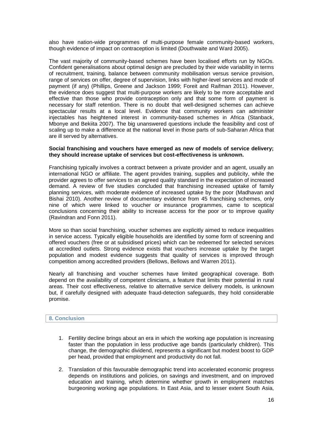also have nation-wide programmes of multi-purpose female community-based workers, though evidence of impact on contraception is limited (Douthwaite and Ward 2005).

The vast majority of community-based schemes have been localised efforts run by NGOs. Confident generalisations about optimal design are precluded by their wide variability in terms of recruitment, training, balance between community mobilisation versus service provision, range of services on offer, degree of supervision, links with higher-level services and mode of payment (if any) (Phillips, Greene and Jackson 1999; Foreit and Raifman 2011). However, the evidence does suggest that multi-purpose workers are likely to be more acceptable and effective than those who provide contraception only and that some form of payment is necessary for staff retention. There is no doubt that well-designed schemes can achieve spectacular results at a local level. Evidence that community workers can administer injectables has heightened interest in community-based schemes in Africa (Stanback, Mbonye and Bekiita 2007). The big unanswered questions include the feasibility and cost of scaling up to make a difference at the national level in those parts of sub-Saharan Africa that are ill served by alternatives.

## **Social franchising and vouchers have emerged as new of models of service delivery; they should increase uptake of services but cost-effectiveness is unknown.**

Franchising typically involves a contract between a private provider and an agent, usually an international NGO or affiliate. The agent provides training, supplies and publicity, while the provider agrees to offer services to an agreed quality standard in the expectation of increased demand. A review of five studies concluded that franchising increased uptake of family planning services, with moderate evidence of increased uptake by the poor (Madhavan and Bishai 2010). Another review of documentary evidence from 45 franchising schemes, only nine of which were linked to voucher or insurance programmes, came to sceptical conclusions concerning their ability to increase access for the poor or to improve quality (Ravindran and Fonn 2011).

More so than social franchising, voucher schemes are explicitly aimed to reduce inequalities in service access. Typically eligible households are identified by some form of screening and offered vouchers (free or at subsidised prices) which can be redeemed for selected services at accredited outlets. Strong evidence exists that vouchers increase uptake by the target population and modest evidence suggests that quality of services is improved through competition among accredited providers (Bellows, Bellows and Warren 2011).

Nearly all franchising and voucher schemes have limited geographical coverage. Both depend on the availability of competent clinicians, a feature that limits their potential in rural areas. Their cost effectiveness, relative to alternative service delivery models, is unknown but, if carefully designed with adequate fraud-detection safeguards, they hold considerable promise.

#### **8. Conclusion**

- 1. Fertility decline brings about an era in which the working age population is increasing faster than the population in less productive age bands (particularly children). This change, the demographic dividend, represents a significant but modest boost to GDP per head, provided that employment and productivity do not fall.
- 2. Translation of this favourable demographic trend into accelerated economic progress depends on institutions and policies, on savings and investment, and on improved education and training, which determine whether growth in employment matches burgeoning working age populations. In East Asia, and to lesser extent South Asia,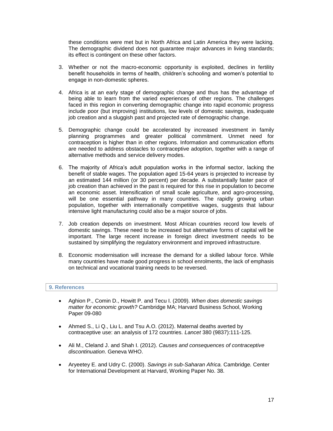these conditions were met but in North Africa and Latin America they were lacking. The demographic dividend does not guarantee major advances in living standards; its effect is contingent on these other factors.

- 3. Whether or not the macro-economic opportunity is exploited, declines in fertility benefit households in terms of health, children"s schooling and women"s potential to engage in non-domestic spheres.
- 4. Africa is at an early stage of demographic change and thus has the advantage of being able to learn from the varied experiences of other regions. The challenges faced in this region in converting demographic change into rapid economic progress include poor (but improving) institutions, low levels of domestic savings, inadequate job creation and a sluggish past and projected rate of demographic change.
- 5. Demographic change could be accelerated by increased investment in family planning programmes and greater political commitment. Unmet need for contraception is higher than in other regions. Information and communication efforts are needed to address obstacles to contraceptive adoption, together with a range of alternative methods and service delivery modes.
- 6. The majority of Africa"s adult population works in the informal sector, lacking the benefit of stable wages. The population aged 15-64 years is projected to increase by an estimated 144 million (or 30 percent) per decade. A substantially faster pace of job creation than achieved in the past is required for this rise in population to become an economic asset. Intensification of small scale agriculture, and agro-processing, will be one essential pathway in many countries. The rapidly growing urban population, together with internationally competitive wages, suggests that labour intensive light manufacturing could also be a major source of jobs.
- 7. Job creation depends on investment. Most African countries record low levels of domestic savings. These need to be increased but alternative forms of capital will be important. The large recent increase in foreign direct investment needs to be sustained by simplifying the regulatory environment and improved infrastructure.
- 8. Economic modernisation will increase the demand for a skilled labour force. While many countries have made good progress in school enrolments, the lack of emphasis on technical and vocational training needs to be reversed.

# **9. References**

- Aghion P., Comin D., Howitt P. and Tecu I. (2009). *When does domestic savings matter for economic growth?* Cambridge MA; Harvard Business School, Working Paper 09-080
- Ahmed S., Li Q., Liu L. and Tsu A.O. (2012). Maternal deaths averted by contraceptive use: an analysis of 172 countries. *Lancet* 380 (9837):111-125.
- Ali M., Cleland J. and Shah I. (2012). *Causes and consequences of contraceptive discontinuation*. Geneva WHO.
- Aryeetey E. and Udry C. (2000). *Savings in sub-Saharan Africa.* Cambridge*.* Center for International Development at Harvard, Working Paper No. 38.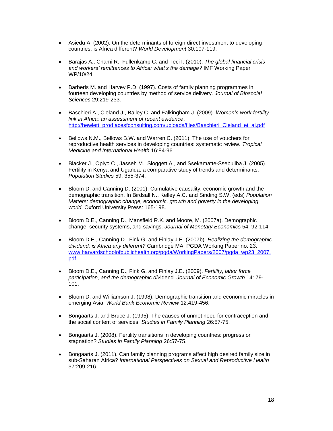- Asiedu A. (2002). On the determinants of foreign direct investment to developing countries: is Africa different? *World Development* 30:107-119.
- Barajas A., Chami R., Fullenkamp C. and Teci I. (2010). *The global financial crisis and workers' remittances to Africa: what's the damage?* IMF Working Paper WP/10/24.
- Barberis M. and Harvey P.D. (1997). Costs of family planning programmes in fourteen developing countries by method of service delivery. *Journal of Biosocial Sciences* 29:219-233.
- Baschieri A., Cleland J., Bailey C. and Falkingham J. (2009). *Women's work-fertility link in Africa: an assessment of recent evidence*. [http://hewlett\\_prod.acesfconsulting.com/uploads/files/Baschieri\\_Cleland\\_et\\_al.pdf](http://hewlett_prod.acesfconsulting.com/uploads/files/Baschieri_Cleland_et_al.pdf)
- Bellows N.M., Bellows B.W. and Warren C. (2011). The use of vouchers for reproductive health services in developing countries: systematic review. *Tropical Medicine and International Health* 16:84-96.
- Blacker J., Opiyo C., Jasseh M., Sloggett A., and Ssekamatte-Ssebuliba J. (2005). Fertility in Kenya and Uganda: a comparative study of trends and determinants. *Population Studies* 59: 355-374.
- Bloom D. and Canning D. (2001). Cumulative causality, economic growth and the demographic transition. In Birdsall N., Kelley A.C. and Sinding S.W. (eds) *Population Matters: demographic change, economic, growth and poverty in the developing world.* Oxford University Press: 165-198.
- Bloom D.E., Canning D., Mansfield R.K. and Moore, M. (2007a). Demographic change, security systems, and savings. *Journal of Monetary Economics* 54: 92-114.
- Bloom D.E., Canning D., Fink G. and Finlay J.E. (2007b). *Realizing the demographic dividend: is Africa any different?* Cambridge MA; PGDA Working Paper no. 23. [www.harvardschoolofpublichealth.org/pgda/WorkingPapers/2007/pgda\\_wp23\\_2007.](http://www.harvardschoolofpublichealth.org/pgda/WorkingPapers/2007/pgda_wp23_2007.pdf) [pdf](http://www.harvardschoolofpublichealth.org/pgda/WorkingPapers/2007/pgda_wp23_2007.pdf)
- Bloom D.E., Canning D., Fink G. and Finlay J.E. (2009). *Fertility, labor force participation, and the demographic div*idend. *Journal of Economic Growth* 14: 79- 101.
- Bloom D. and Williamson J. (1998). Demographic transition and economic miracles in emerging Asia. *World Bank Economic Review* 12:419-456.
- Bongaarts J. and Bruce J. (1995). The causes of unmet need for contraception and the social content of services. *Studies in Family Planning* 26:57-75.
- Bongaarts J. (2008). Fertility transitions in developing countries: progress or stagnation? *Studies in Family Planning* 26:57-75.
- Bongaarts J. (2011). Can family planning programs affect high desired family size in sub-Saharan Africa? *International Perspectives on Sexual and Reproductive Health* 37:209-216.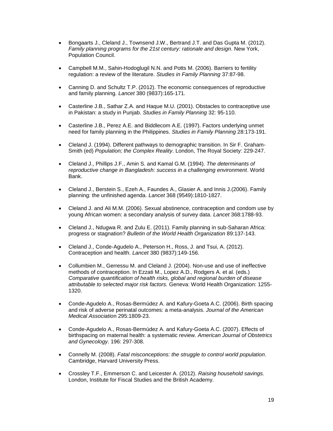- Bongaarts J., Cleland J., Townsend J.W., Bertrand J.T. and Das Gupta M. (2012). *Family planning programs for the 21st century: rationale and design*. New York, Population Council.
- Campbell M.M., Sahin-Hodoglugil N.N. and Potts M. (2006). Barriers to fertility regulation: a review of the literature. *Studies in Family Planning* 37:87-98.
- Canning D. and Schultz T.P. (2012). The economic consequences of reproductive and family planning. *Lancet* 380 (9837):165-171.
- Casterline J.B., Sathar Z.A. and Haque M.U. (2001). Obstacles to contraceptive use in Pakistan: a study in Punjab. *Studies in Family Planning* 32: 95-110.
- Casterline J.B., Perez A.E. and Biddlecom A.E. (1997). Factors underlying unmet need for family planning in the Philippines. *Studies in Family Planning* 28:173-191.
- Cleland J. (1994). Different pathways to demographic transition. In Sir F. Graham-Smith (ed) *Population; the Complex Reality*. London, The Royal Society: 229-247.
- Cleland J., Phillips J.F., Amin S. and Kamal G.M. (1994). *The determinants of reproductive change in Bangladesh: success in a challenging environment*. World Bank.
- Cleland J., Berstein S., Ezeh A., Faundes A., Glasier A. and Innis J.(2006). Family planning: the unfinished agenda. *Lancet* 368 (9549):1810-1827.
- Cleland J. and Ali M.M. (2006). Sexual abstinence, contraception and condom use by young African women: a secondary analysis of survey data. *Lancet* 368:1788-93.
- Cleland J., Ndugwa R. and Zulu E. (2011). Family planning in sub-Saharan Africa: progress or stagnation? *Bulletin of the World Health Organization* 89:137-143.
- Cleland J., Conde-Agudelo A., Peterson H., Ross, J. and Tsui, A. (2012). Contraception and health. *Lancet* 380 (9837):149-156.
- Collumbien M., Gerressu M. and Cleland J. (2004). Non-use and use of ineffective methods of contraception. In Ezzati M., Lopez A.D., Rodgers A. et al. (eds.) *Comparative quantification of health risks, global and regional burden of disease attributable to selected major risk factors.* Geneva: World Health Organization: 1255- 1320.
- Conde-Agudelo A., Rosas-Bermúdez A. and Kafury-Goeta A.C. (2006). Birth spacing and risk of adverse perinatal outcomes: a meta-analysis. *Journal of the American Medical Associatio*n 295:1809-23.
- Conde-Agudelo A., Rosas-Bermúdez A. and Kafury-Goeta A.C. (2007). Effects of birthspacing on maternal health: a systematic review. *American Journal of Obstetrics and Gynecology*. 196: 297-308.
- Connelly M. (2008). *Fatal misconceptions: the struggle to control world population*. Cambridge, Harvard University Press.
- Crossley T.F., Emmerson C. and Leicester A. (2012). *Raising household savings.*  London, Institute for Fiscal Studies and the British Academy.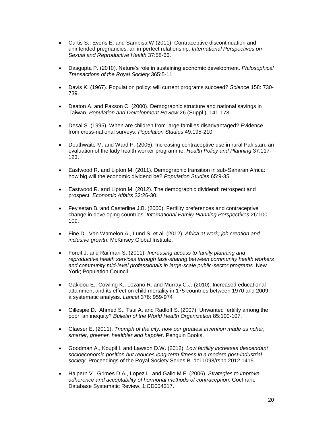- Curtis S., Evens E. and Sambisa W (2011). Contraceptive discontinuation and unintended pregnancies: an imperfect relationship. *International Perspectives on Sexual and Reproductive Health* 37:58-66.
- Dasgupta P. (2010). Nature"s role in sustaining economic development. *Philosophical Transactions of the Royal Society* 365:5-11.
- Davis K. (1967). Population policy: will current programs succeed? *Science* 158: 730- 739.
- Deaton A. and Paxson C. (2000). Demographic structure and national savings in Taiwan. *Population and Development Review* 26 (Suppl.); 141-173.
- Desai S. (1995). When are children from large families disadvantaged? Evidence from cross-national surveys. *Population Studies* 49:195-210.
- Douthwaite M. and Ward P. (2005). Increasing contraceptive use in rural Pakistan; an evaluation of the lady health worker programme. *Health Policy and Planning* 37:117- 123.
- Eastwood R. and Lipton M. (2011). Demographic transition in sub-Saharan Africa: how big will the economic dividend be? *Population Studies* 65:9-35.
- Eastwood R. and Lipton M. (2012). The demographic dividend: retrospect and prospect. *Economic Affairs* 32:26-30.
- Feyisetan B. and Casterline J.B. (2000). Fertility preferences and contraceptive change in developing countries. *International Family Planning Perspectives* 26:100- 109.
- Fine D., Van Wamelon A., Lund S. et al. (2012). *Africa at work; job creation and inclusive growth*. McKinsey Global Institute.
- Foreit J. and Raifman S. (2011). *Increasing access to family planning and reproductive health services through task-sharing between community health workers and community mid-level professionals in large-scale public-sector programs*. New York; Population Council.
- Gakidou E., Cowling K., Lozano R. and Murray C.J. (2010). Increased educational attainment and its effect on child mortality in 175 countries between 1970 and 2009: a systematic analysis. *Lancet* 376: 959-974
- Gillespie D., Ahmed S., Tsui A. and Radloff S. (2007). Unwanted fertility among the poor: an inequity? *Bulletin of the World Health Organization* 85:100-107.
- Glaeser E. (2011). *Triumph of the city: how our greatest invention made us richer, smarter, greener, healthier and happier*. Penguin Books.
- Goodman A., Koupil I. and Lawson D.W. (2012). *Low fertility increases descendant socioeconomic position but reduces long-term fitness in a modern post-industrial society*. Proceedings of the Royal Society Series B. doi.1098/rspb.2012.1415.
- Halpern V., Grimes D.A., Lopez L. and Gallo M.F. (2006). *Strategies to improve adherence and acceptability of hormonal methods of contraception*. Cochrane Database Systematic Review, 1:CD004317.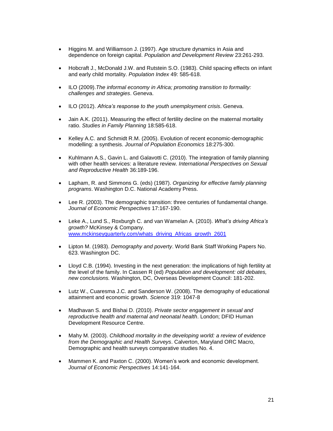- Higgins M. and Williamson J. (1997). Age structure dynamics in Asia and dependence on foreign capital. *Population and Development Review* 23:261-293.
- Hobcraft J., McDonald J.W. and Rutstein S.O. (1983). Child spacing effects on infant and early child mortality. *Population Index* 49: 585-618.
- ILO (2009).*The informal economy in Africa; promoting transition to formality: challenges and strategies*. Geneva.
- ILO (2012). *Africa's response to the youth unemployment crisis*. Geneva.
- Jain A.K. (2011). Measuring the effect of fertility decline on the maternal mortality ratio. *Studies in Family Planning* 18:585-618.
- Kelley A.C. and Schmidt R.M. (2005). Evolution of recent economic-demographic modelling: a synthesis. *Journal of Population Economics* 18:275-300.
- Kuhlmann A.S., Gavin L. and Galavotti C. (2010). The integration of family planning with other health services: a literature review. *International Perspectives on Sexual and Reproductive Health* 36:189-196.
- Lapham, R. and Simmons G. (eds) (1987). *Organizing for effective family planning programs*. Washington D.C. National Academy Press.
- Lee R. (2003). The demographic transition: three centuries of fundamental change. *Journal of Economic Perspectives* 17:167-190.
- Leke A., Lund S., Roxburgh C. and van Wamelan A. (2010). *What's driving Africa's growth?* McKinsey & Company. [www.mckinseyquarterly.com/whats\\_driving\\_Africas\\_growth\\_2601](http://www.mckinseyquarterly.com/whats_driving_Africas_growth_2601)
- Lipton M. (1983). *Demography and poverty*. World Bank Staff Working Papers No. 623. Washington DC.
- Lloyd C.B. (1994). Investing in the next generation: the implications of high fertility at the level of the family. In Cassen R (ed) *Population and development: old debates, new conclusions.* Washington, DC, Overseas Development Council: 181-202.
- Lutz W., Cuaresma J.C. and Sanderson W. (2008). The demography of educational attainment and economic growth. *Science* 319: 1047-8
- Madhavan S. and Bishai D. (2010). *Private sector engagement in sexual and reproductive health and maternal and neonatal health*. London; DFID Human Development Resource Centre.
- Mahy M. (2003). *Childhood mortality in the developing world: a review of evidence from the Demographic and Health Surveys*. Calverton, Maryland ORC Macro, Demographic and health surveys comparative studies No. 4.
- Mammen K. and Paxton C. (2000). Women"s work and economic development. *Journal of Economic Perspectives* 14:141-164.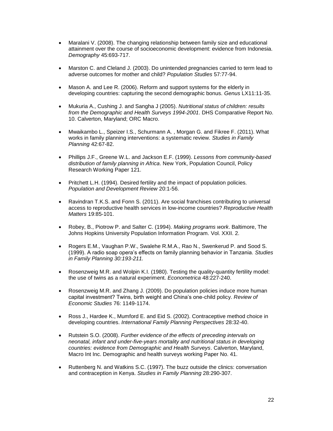- Maralani V. (2008). The changing relationship between family size and educational attainment over the course of socioeconomic development: evidence from Indonesia. *Demography* 45:693-717.
- Marston C. and Cleland J. (2003). Do unintended pregnancies carried to term lead to adverse outcomes for mother and child? *Population Studies* 57:77-94.
- Mason A. and Lee R. (2006). Reform and support systems for the elderly in developing countries: capturing the second demographic bonus. *Genus* LX11:11-35.
- Mukuria A., Cushing J. and Sangha J (2005). *Nutritional status of children: results from the Demographic and Health Surveys 1994-2001*. DHS Comparative Report No. 10. Calverton, Maryland; ORC Macro.
- Mwaikambo L., Speizer I.S., Schurmann A. , Morgan G. and Fikree F. (2011). What works in family planning interventions: a systematic review. *Studies in Family Planning* 42:67-82.
- Phillips J.F., Greene W.L. and Jackson E.F. (1999). *Lessons from community-based distribution of family planning in Africa*. New York, Population Council, Policy Research Working Paper 121.
- Pritchett L.H. (1994). Desired fertility and the impact of population policies. *Population and Development Review* 20:1-56.
- Ravindran T.K.S. and Fonn S. (2011). Are social franchises contributing to universal access to reproductive health services in low-income countries? *Reproductive Health Matters* 19:85-101.
- Robey, B., Piotrow P. and Salter C. (1994). *Making programs work*. Baltimore, The Johns Hopkins University Population Information Program. Vol. XXII. 2.
- Rogers E.M., Vaughan P.W., Swalehe R.M.A., Rao N., Swenkerud P. and Sood S. (1999). A radio soap opera"s effects on family planning behavior in Tanzania. *Studies in Family Planning 30:193-211.*
- Rosenzweig M.R. and Wolpin K.I. (1980). Testing the quality-quantity fertility model: the use of twins as a natural experiment. *Econometrica* 48:227-240.
- Rosenzweig M.R. and Zhang J. (2009). Do population policies induce more human capital investment? Twins, birth weight and China"s one-child policy. *Review of Economic Studies* 76: 1149-1174.
- Ross J., Hardee K., Mumford E. and Eid S. (2002). Contraceptive method choice in developing countries. *International Family Planning Perspectives* 28:32-40.
- Rutstein S.O. (2008). *Further evidence of the effects of preceding intervals on neonatal, infant and under-five-years mortality and nutritional status in developing countries: evidence from Demographic and Health Surveys*. Calverton, Maryland, Macro Int Inc. Demographic and health surveys working Paper No. 41.
- Ruttenberg N. and Watkins S.C. (1997). The buzz outside the clinics: conversation and contraception in Kenya. *Studies in Family Planning* 28:290-307.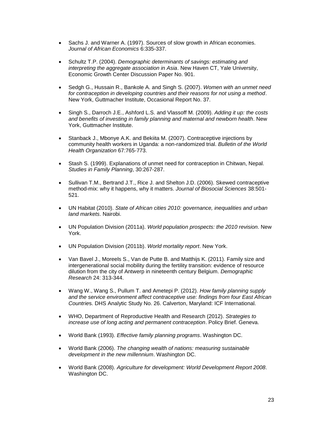- Sachs J. and Warner A. (1997). Sources of slow growth in African economies. *Journal of African Economics* 6:335-337.
- Schultz T.P. (2004). *Demographic determinants of savings: estimating and interpreting the aggregate association in Asia*. New Haven CT, Yale University, Economic Growth Center Discussion Paper No. 901.
- Sedgh G., Hussain R., Bankole A. and Singh S. (2007). *Women with an unmet need for contraception in developing countries and their reasons for not using a method*. New York, Guttmacher Institute, Occasional Report No. 37.
- Singh S., Darroch J.E., Ashford L.S. and Vlassoff M. (2009). *Adding it up: the costs and benefits of investing in family planning and maternal and newborn health*. New York, Guttmacher Institute.
- Stanback J., Mbonye A.K. and Bekiita M. (2007). Contraceptive injections by community health workers in Uganda: a non-randomized trial. *Bulletin of the World Health Organization* 67:765-773.
- Stash S. (1999). Explanations of unmet need for contraception in Chitwan, Nepal. *Studies in Family Planning*, 30:267-287.
- Sullivan T.M., Bertrand J.T., Rice J. and Shelton J.D. (2006). Skewed contraceptive method-mix: why it happens, why it matters. *Journal of Biosocial Sciences* 38:501- 521.
- UN Habitat (2010). *State of African cities 2010: governance, inequalities and urban land markets*. Nairobi.
- UN Population Division (2011a). *World population prospects: the 2010 revision*. New York.
- UN Population Division (2011b). *World mortality report*. New York.
- Van Bavel J., Moreels S., Van de Putte B. and Matthijs K. (2011). Family size and intergenerational social mobility during the fertility transition: evidence of resource dilution from the city of Antwerp in nineteenth century Belgium. *Demographic Research* 24: 313-344.
- Wang W., Wang S., Pullum T. and Ametepi P. (2012). *How family planning supply and the service environment affect contraceptive use: findings from four East African Countrie*s. DHS Analytic Study No. 26. Calverton, Maryland: ICF International.
- WHO, Department of Reproductive Health and Research (2012). *Strategies to increase use of long acting and permanent contraception*. Policy Brief. Geneva.
- World Bank (1993). *Effective family planning programs*. Washington DC.
- World Bank (2006). *The changing wealth of nations: measuring sustainable development in the new millennium*. Washington DC.
- World Bank (2008). *Agriculture for development: World Development Report 2008*. Washington DC.